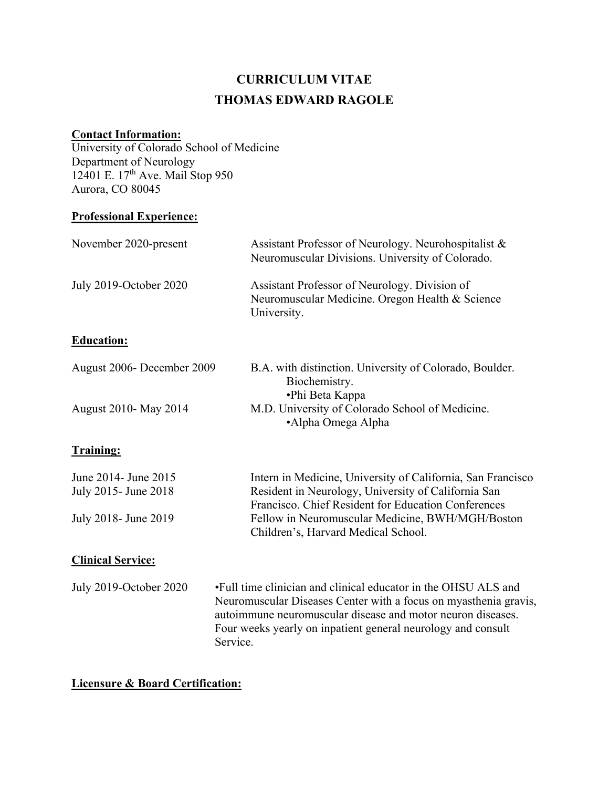# **CURRICULUM VITAE THOMAS EDWARD RAGOLE**

# **Contact Information:**

University of Colorado School of Medicine Department of Neurology 12401 E. 17<sup>th</sup> Ave. Mail Stop 950 Aurora, CO 80045

### **Professional Experience:**

| November 2020-present                        | Assistant Professor of Neurology. Neurohospitalist &<br>Neuromuscular Divisions. University of Colorado.                                                                                                                                                                      |
|----------------------------------------------|-------------------------------------------------------------------------------------------------------------------------------------------------------------------------------------------------------------------------------------------------------------------------------|
| July 2019-October 2020                       | Assistant Professor of Neurology. Division of<br>Neuromuscular Medicine. Oregon Health & Science<br>University.                                                                                                                                                               |
| <b>Education:</b>                            |                                                                                                                                                                                                                                                                               |
| August 2006- December 2009                   | B.A. with distinction. University of Colorado, Boulder.<br>Biochemistry.<br>•Phi Beta Kappa                                                                                                                                                                                   |
| August 2010- May 2014                        | M.D. University of Colorado School of Medicine.<br>•Alpha Omega Alpha                                                                                                                                                                                                         |
| <b>Training:</b>                             |                                                                                                                                                                                                                                                                               |
| June 2014- June 2015<br>July 2015- June 2018 | Intern in Medicine, University of California, San Francisco<br>Resident in Neurology, University of California San<br>Francisco. Chief Resident for Education Conferences                                                                                                     |
| July 2018 - June 2019                        | Fellow in Neuromuscular Medicine, BWH/MGH/Boston<br>Children's, Harvard Medical School.                                                                                                                                                                                       |
| <b>Clinical Service:</b>                     |                                                                                                                                                                                                                                                                               |
| <b>July 2019-October 2020</b>                | •Full time clinician and clinical educator in the OHSU ALS and<br>Neuromuscular Diseases Center with a focus on myasthenia gravis,<br>autoimmune neuromuscular disease and motor neuron diseases.<br>Four weeks yearly on inpatient general neurology and consult<br>Service. |

### **Licensure & Board Certification:**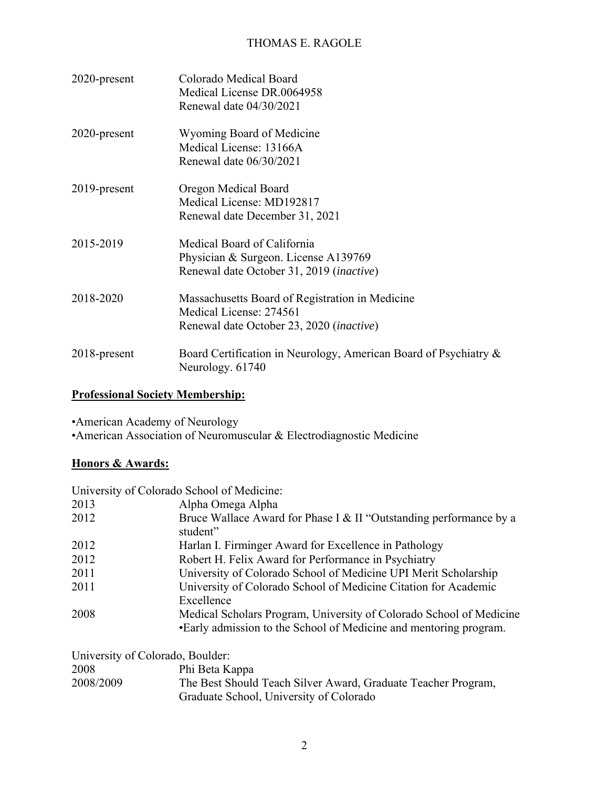| 2020-present    | Colorado Medical Board<br>Medical License DR.0064958<br>Renewal date 04/30/2021                                                 |
|-----------------|---------------------------------------------------------------------------------------------------------------------------------|
| $2020$ -present | Wyoming Board of Medicine<br>Medical License: 13166A<br>Renewal date 06/30/2021                                                 |
| $2019$ -present | Oregon Medical Board<br>Medical License: MD192817<br>Renewal date December 31, 2021                                             |
| 2015-2019       | Medical Board of California<br>Physician & Surgeon. License A139769<br>Renewal date October 31, 2019 ( <i>inactive</i> )        |
| 2018-2020       | Massachusetts Board of Registration in Medicine<br>Medical License: 274561<br>Renewal date October 23, 2020 ( <i>inactive</i> ) |
| 2018-present    | Board Certification in Neurology, American Board of Psychiatry &<br>Neurology. 61740                                            |

### **Professional Society Membership:**

•American Academy of Neurology •American Association of Neuromuscular & Electrodiagnostic Medicine

### **Honors & Awards:**

|      | University of Colorado School of Medicine:                                                                                               |
|------|------------------------------------------------------------------------------------------------------------------------------------------|
| 2013 | Alpha Omega Alpha                                                                                                                        |
| 2012 | Bruce Wallace Award for Phase I & II "Outstanding performance by a<br>student"                                                           |
| 2012 | Harlan I. Firminger Award for Excellence in Pathology                                                                                    |
| 2012 | Robert H. Felix Award for Performance in Psychiatry                                                                                      |
| 2011 | University of Colorado School of Medicine UPI Merit Scholarship                                                                          |
| 2011 | University of Colorado School of Medicine Citation for Academic<br>Excellence                                                            |
| 2008 | Medical Scholars Program, University of Colorado School of Medicine<br>•Early admission to the School of Medicine and mentoring program. |

| University of Colorado, Boulder: |                                                               |
|----------------------------------|---------------------------------------------------------------|
| 2008                             | Phi Beta Kappa                                                |
| 2008/2009                        | The Best Should Teach Silver Award, Graduate Teacher Program, |
|                                  | Graduate School, University of Colorado                       |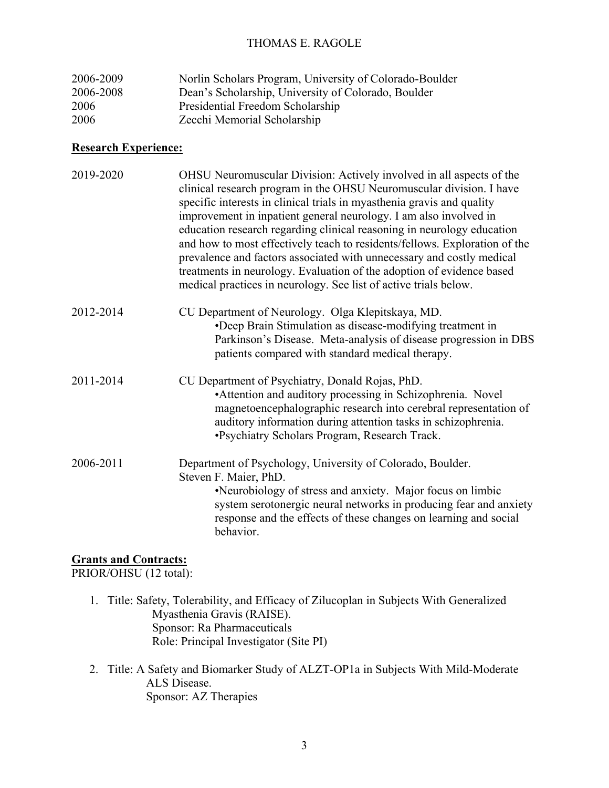| 2006-2009 | Norlin Scholars Program, University of Colorado-Boulder |
|-----------|---------------------------------------------------------|
| 2006-2008 | Dean's Scholarship, University of Colorado, Boulder     |
| 2006      | Presidential Freedom Scholarship                        |
| 2006      | Zecchi Memorial Scholarship                             |

#### **Research Experience:**

| 2019-2020 | OHSU Neuromuscular Division: Actively involved in all aspects of the<br>clinical research program in the OHSU Neuromuscular division. I have<br>specific interests in clinical trials in myasthenia gravis and quality<br>improvement in inpatient general neurology. I am also involved in<br>education research regarding clinical reasoning in neurology education<br>and how to most effectively teach to residents/fellows. Exploration of the<br>prevalence and factors associated with unnecessary and costly medical<br>treatments in neurology. Evaluation of the adoption of evidence based<br>medical practices in neurology. See list of active trials below. |
|-----------|---------------------------------------------------------------------------------------------------------------------------------------------------------------------------------------------------------------------------------------------------------------------------------------------------------------------------------------------------------------------------------------------------------------------------------------------------------------------------------------------------------------------------------------------------------------------------------------------------------------------------------------------------------------------------|
| 2012-2014 | CU Department of Neurology. Olga Klepitskaya, MD.<br>•Deep Brain Stimulation as disease-modifying treatment in<br>Parkinson's Disease. Meta-analysis of disease progression in DBS<br>patients compared with standard medical therapy.                                                                                                                                                                                                                                                                                                                                                                                                                                    |
| 2011-2014 | CU Department of Psychiatry, Donald Rojas, PhD.<br>• Attention and auditory processing in Schizophrenia. Novel<br>magnetoencephalographic research into cerebral representation of<br>auditory information during attention tasks in schizophrenia.<br>•Psychiatry Scholars Program, Research Track.                                                                                                                                                                                                                                                                                                                                                                      |
| 2006-2011 | Department of Psychology, University of Colorado, Boulder.<br>Steven F. Maier, PhD.<br>•Neurobiology of stress and anxiety. Major focus on limbic<br>system serotonergic neural networks in producing fear and anxiety<br>response and the effects of these changes on learning and social<br>behavior.                                                                                                                                                                                                                                                                                                                                                                   |

### **Grants and Contracts:**

PRIOR/OHSU (12 total):

- 1. Title: Safety, Tolerability, and Efficacy of Zilucoplan in Subjects With Generalized Myasthenia Gravis (RAISE). Sponsor: Ra Pharmaceuticals Role: Principal Investigator (Site PI)
- 2. Title: A Safety and Biomarker Study of ALZT-OP1a in Subjects With Mild-Moderate ALS Disease. Sponsor: AZ Therapies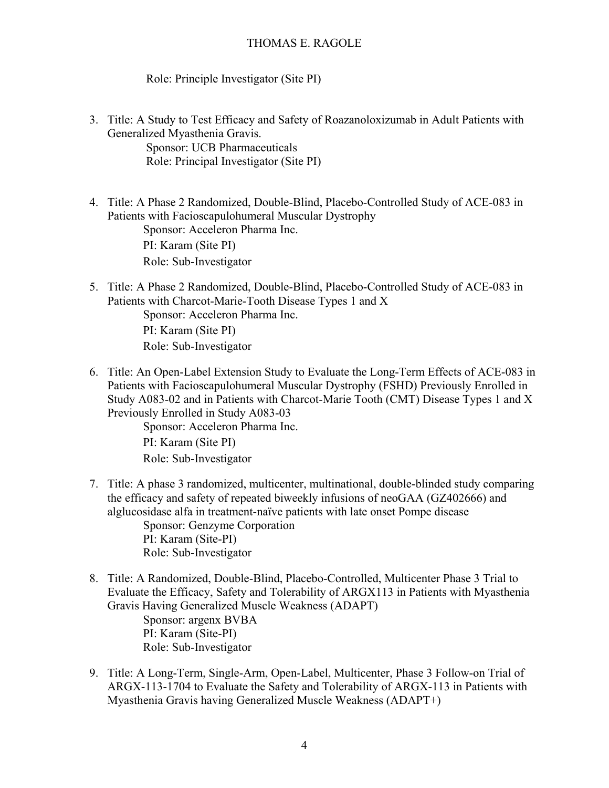Role: Principle Investigator (Site PI)

- 3. Title: A Study to Test Efficacy and Safety of Roazanoloxizumab in Adult Patients with Generalized Myasthenia Gravis. Sponsor: UCB Pharmaceuticals Role: Principal Investigator (Site PI)
- 4. Title: A Phase 2 Randomized, Double-Blind, Placebo-Controlled Study of ACE-083 in Patients with Facioscapulohumeral Muscular Dystrophy Sponsor: Acceleron Pharma Inc. PI: Karam (Site PI) Role: Sub-Investigator
- 5. Title: A Phase 2 Randomized, Double-Blind, Placebo-Controlled Study of ACE-083 in Patients with Charcot-Marie-Tooth Disease Types 1 and X Sponsor: Acceleron Pharma Inc. PI: Karam (Site PI) Role: Sub-Investigator
- 6. Title: An Open-Label Extension Study to Evaluate the Long-Term Effects of ACE-083 in Patients with Facioscapulohumeral Muscular Dystrophy (FSHD) Previously Enrolled in Study A083-02 and in Patients with Charcot-Marie Tooth (CMT) Disease Types 1 and X Previously Enrolled in Study A083-03

Sponsor: Acceleron Pharma Inc. PI: Karam (Site PI)

Role: Sub-Investigator

- 7. Title: A phase 3 randomized, multicenter, multinational, double-blinded study comparing the efficacy and safety of repeated biweekly infusions of neoGAA (GZ402666) and alglucosidase alfa in treatment-naïve patients with late onset Pompe disease Sponsor: Genzyme Corporation PI: Karam (Site-PI) Role: Sub-Investigator
- 8. Title: A Randomized, Double-Blind, Placebo-Controlled, Multicenter Phase 3 Trial to Evaluate the Efficacy, Safety and Tolerability of ARGX113 in Patients with Myasthenia Gravis Having Generalized Muscle Weakness (ADAPT) Sponsor: argenx BVBA PI: Karam (Site-PI) Role: Sub-Investigator
- 9. Title: A Long-Term, Single-Arm, Open-Label, Multicenter, Phase 3 Follow-on Trial of ARGX-113-1704 to Evaluate the Safety and Tolerability of ARGX-113 in Patients with Myasthenia Gravis having Generalized Muscle Weakness (ADAPT+)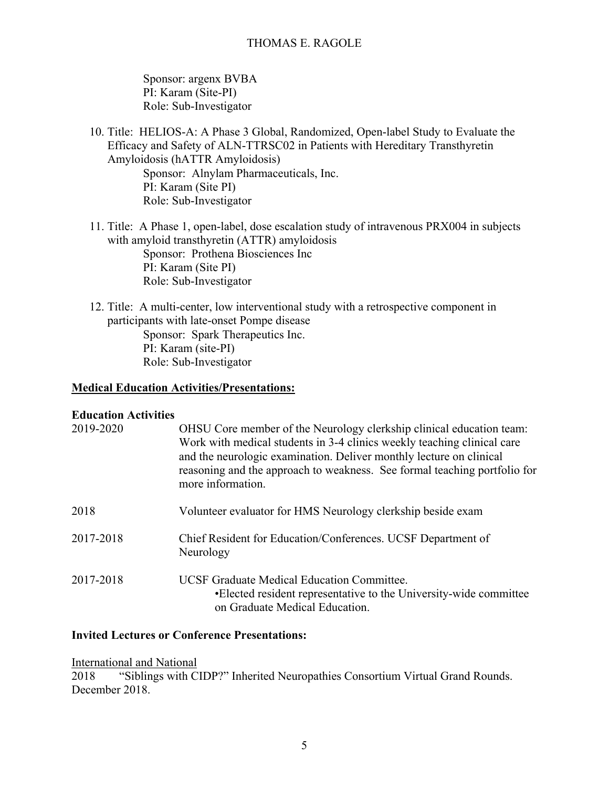Sponsor: argenx BVBA PI: Karam (Site-PI) Role: Sub-Investigator

10. Title: HELIOS-A: A Phase 3 Global, Randomized, Open-label Study to Evaluate the Efficacy and Safety of ALN-TTRSC02 in Patients with Hereditary Transthyretin Amyloidosis (hATTR Amyloidosis) Sponsor: Alnylam Pharmaceuticals, Inc. PI: Karam (Site PI) Role: Sub-Investigator

- 11. Title: A Phase 1, open-label, dose escalation study of intravenous PRX004 in subjects with amyloid transthyretin (ATTR) amyloidosis Sponsor: Prothena Biosciences Inc PI: Karam (Site PI) Role: Sub-Investigator
- 12. Title: A multi-center, low interventional study with a retrospective component in participants with late-onset Pompe disease Sponsor: Spark Therapeutics Inc. PI: Karam (site-PI) Role: Sub-Investigator

#### **Medical Education Activities/Presentations:**

#### **Education Activities**

| 2019-2020 | OHSU Core member of the Neurology clerkship clinical education team:<br>Work with medical students in 3-4 clinics weekly teaching clinical care<br>and the neurologic examination. Deliver monthly lecture on clinical<br>reasoning and the approach to weakness. See formal teaching portfolio for<br>more information. |
|-----------|--------------------------------------------------------------------------------------------------------------------------------------------------------------------------------------------------------------------------------------------------------------------------------------------------------------------------|
| 2018      | Volunteer evaluator for HMS Neurology clerkship beside exam                                                                                                                                                                                                                                                              |
| 2017-2018 | Chief Resident for Education/Conferences. UCSF Department of<br>Neurology                                                                                                                                                                                                                                                |
| 2017-2018 | <b>UCSF Graduate Medical Education Committee.</b><br>•Elected resident representative to the University-wide committee<br>on Graduate Medical Education.                                                                                                                                                                 |

#### **Invited Lectures or Conference Presentations:**

International and National 2018 "Siblings with CIDP?" Inherited Neuropathies Consortium Virtual Grand Rounds. December 2018.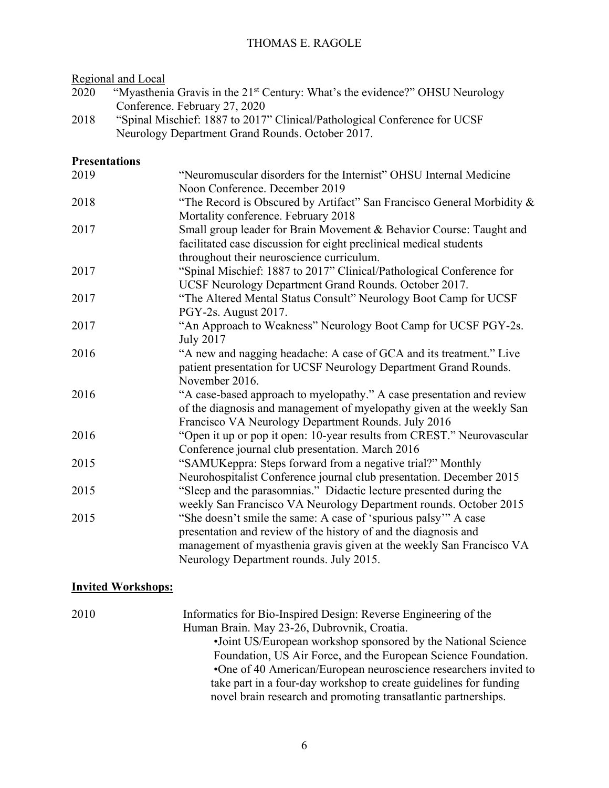Regional and Local

- 2020 "Myasthenia Gravis in the 21<sup>st</sup> Century: What's the evidence?" OHSU Neurology Conference. February 27, 2020
- 2018 "Spinal Mischief: 1887 to 2017" Clinical/Pathological Conference for UCSF Neurology Department Grand Rounds. October 2017.

#### **Presentations**

| "Neuromuscular disorders for the Internist" OHSU Internal Medicine                                            |
|---------------------------------------------------------------------------------------------------------------|
| Noon Conference. December 2019                                                                                |
| "The Record is Obscured by Artifact" San Francisco General Morbidity &<br>Mortality conference. February 2018 |
| Small group leader for Brain Movement & Behavior Course: Taught and                                           |
| facilitated case discussion for eight preclinical medical students                                            |
| throughout their neuroscience curriculum.                                                                     |
| "Spinal Mischief: 1887 to 2017" Clinical/Pathological Conference for                                          |
| UCSF Neurology Department Grand Rounds. October 2017.                                                         |
| "The Altered Mental Status Consult" Neurology Boot Camp for UCSF                                              |
| PGY-2s. August 2017.                                                                                          |
| "An Approach to Weakness" Neurology Boot Camp for UCSF PGY-2s.                                                |
|                                                                                                               |
| <b>July 2017</b>                                                                                              |
| "A new and nagging headache: A case of GCA and its treatment." Live                                           |
| patient presentation for UCSF Neurology Department Grand Rounds.                                              |
| November 2016.                                                                                                |
| "A case-based approach to myelopathy." A case presentation and review                                         |
| of the diagnosis and management of myelopathy given at the weekly San                                         |
| Francisco VA Neurology Department Rounds. July 2016                                                           |
| "Open it up or pop it open: 10-year results from CREST." Neurovascular                                        |
| Conference journal club presentation. March 2016                                                              |
| "SAMUKeppra: Steps forward from a negative trial?" Monthly                                                    |
| Neurohospitalist Conference journal club presentation. December 2015                                          |
| "Sleep and the parasomnias." Didactic lecture presented during the                                            |
| weekly San Francisco VA Neurology Department rounds. October 2015                                             |
| "She doesn't smile the same: A case of 'spurious palsy'" A case                                               |
| presentation and review of the history of and the diagnosis and                                               |
| management of myasthenia gravis given at the weekly San Francisco VA                                          |
| Neurology Department rounds. July 2015.                                                                       |
|                                                                                                               |

### **Invited Workshops:**

| 2010 | Informatics for Bio-Inspired Design: Reverse Engineering of the   |
|------|-------------------------------------------------------------------|
|      | Human Brain. May 23-26, Dubrovnik, Croatia.                       |
|      | •Joint US/European workshop sponsored by the National Science     |
|      | Foundation, US Air Force, and the European Science Foundation.    |
|      | •One of 40 American/European neuroscience researchers invited to  |
|      | take part in a four-day workshop to create guidelines for funding |
|      | novel brain research and promoting transatlantic partnerships.    |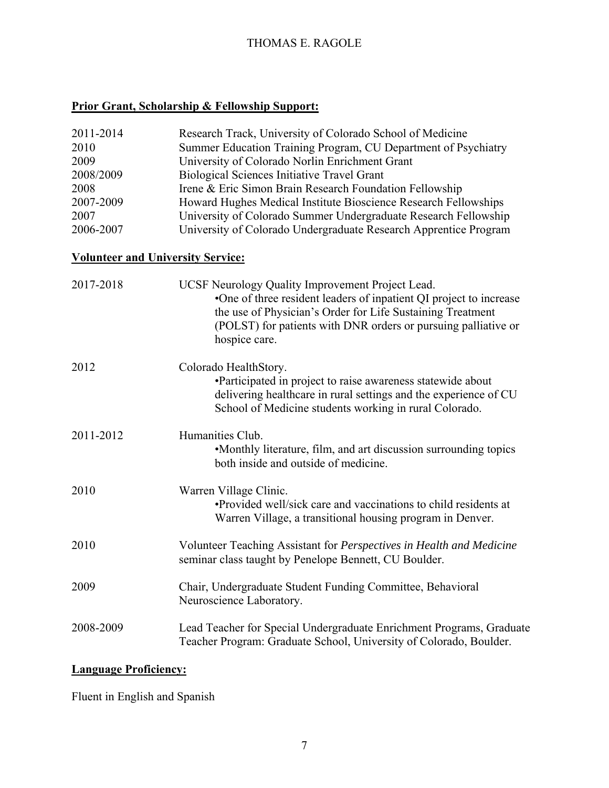# **Prior Grant, Scholarship & Fellowship Support:**

| 2011-2014<br>2010<br>2009<br>2008/2009<br>2008<br>2007-2009<br>2007<br>2006-2007 | Research Track, University of Colorado School of Medicine<br>Summer Education Training Program, CU Department of Psychiatry<br>University of Colorado Norlin Enrichment Grant<br>Biological Sciences Initiative Travel Grant<br>Irene & Eric Simon Brain Research Foundation Fellowship<br>Howard Hughes Medical Institute Bioscience Research Fellowships<br>University of Colorado Summer Undergraduate Research Fellowship<br>University of Colorado Undergraduate Research Apprentice Program |
|----------------------------------------------------------------------------------|---------------------------------------------------------------------------------------------------------------------------------------------------------------------------------------------------------------------------------------------------------------------------------------------------------------------------------------------------------------------------------------------------------------------------------------------------------------------------------------------------|
| <b>Volunteer and University Service:</b>                                         |                                                                                                                                                                                                                                                                                                                                                                                                                                                                                                   |
| 2017-2018                                                                        | UCSF Neurology Quality Improvement Project Lead.<br>•One of three resident leaders of inpatient QI project to increase<br>the use of Physician's Order for Life Sustaining Treatment<br>(POLST) for patients with DNR orders or pursuing palliative or<br>hospice care.                                                                                                                                                                                                                           |
| 2012                                                                             | Colorado HealthStory.<br>•Participated in project to raise awareness statewide about<br>delivering healthcare in rural settings and the experience of CU<br>School of Medicine students working in rural Colorado.                                                                                                                                                                                                                                                                                |
| 2011-2012                                                                        | Humanities Club.<br>•Monthly literature, film, and art discussion surrounding topics<br>both inside and outside of medicine.                                                                                                                                                                                                                                                                                                                                                                      |
| 2010                                                                             | Warren Village Clinic.<br>•Provided well/sick care and vaccinations to child residents at<br>Warren Village, a transitional housing program in Denver.                                                                                                                                                                                                                                                                                                                                            |
| 2010                                                                             | Volunteer Teaching Assistant for Perspectives in Health and Medicine<br>seminar class taught by Penelope Bennett, CU Boulder.                                                                                                                                                                                                                                                                                                                                                                     |
| 2009                                                                             | Chair, Undergraduate Student Funding Committee, Behavioral<br>Neuroscience Laboratory.                                                                                                                                                                                                                                                                                                                                                                                                            |
| 2008-2009                                                                        | Lead Teacher for Special Undergraduate Enrichment Programs, Graduate<br>Teacher Program: Graduate School, University of Colorado, Boulder.                                                                                                                                                                                                                                                                                                                                                        |

# **Language Proficiency:**

Fluent in English and Spanish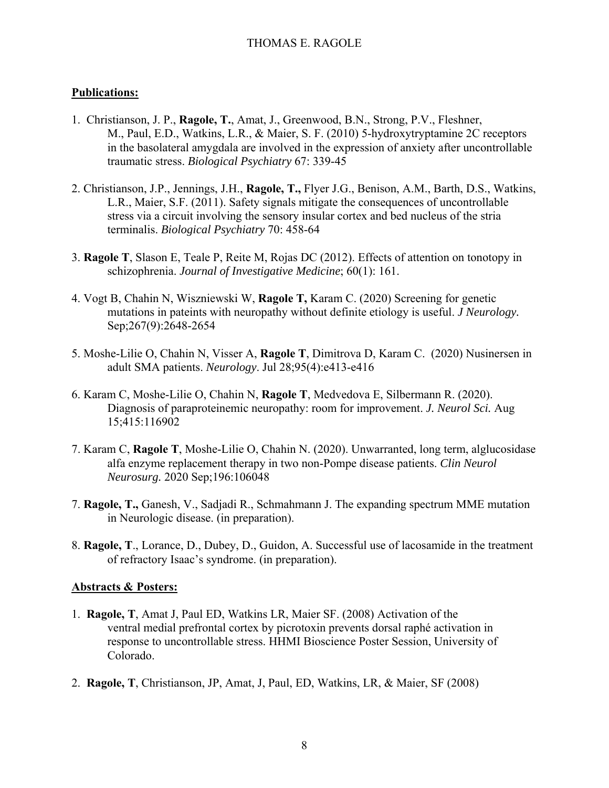#### **Publications:**

- 1. Christianson, J. P., **Ragole, T.**, Amat, J., Greenwood, B.N., Strong, P.V., Fleshner, M., Paul, E.D., Watkins, L.R., & Maier, S. F. (2010) 5-hydroxytryptamine 2C receptors in the basolateral amygdala are involved in the expression of anxiety after uncontrollable traumatic stress. *Biological Psychiatry* 67: 339-45
- 2. Christianson, J.P., Jennings, J.H., **Ragole, T.,** Flyer J.G., Benison, A.M., Barth, D.S., Watkins, L.R., Maier, S.F. (2011). Safety signals mitigate the consequences of uncontrollable stress via a circuit involving the sensory insular cortex and bed nucleus of the stria terminalis. *Biological Psychiatry* 70: 458-64
- 3. **Ragole T**, Slason E, Teale P, Reite M, Rojas DC (2012). Effects of attention on tonotopy in schizophrenia. *Journal of Investigative Medicine*; 60(1): 161.
- 4. Vogt B, Chahin N, Wiszniewski W, **Ragole T,** Karam C. (2020) Screening for genetic mutations in pateints with neuropathy without definite etiology is useful. *J Neurology.*  Sep;267(9):2648-2654
- 5. Moshe-Lilie O, Chahin N, Visser A, **Ragole T**, Dimitrova D, Karam C. (2020) Nusinersen in adult SMA patients. *Neurology*. Jul 28;95(4):e413-e416
- 6. Karam C, Moshe-Lilie O, Chahin N, **Ragole T**, Medvedova E, Silbermann R. (2020). Diagnosis of paraproteinemic neuropathy: room for improvement. *J. Neurol Sci.* Aug 15;415:116902
- 7. Karam C, **Ragole T**, Moshe-Lilie O, Chahin N. (2020). Unwarranted, long term, alglucosidase alfa enzyme replacement therapy in two non-Pompe disease patients. *Clin Neurol Neurosurg.* 2020 Sep;196:106048
- 7. **Ragole, T.,** Ganesh, V., Sadjadi R., Schmahmann J. The expanding spectrum MME mutation in Neurologic disease. (in preparation).
- 8. **Ragole, T**., Lorance, D., Dubey, D., Guidon, A. Successful use of lacosamide in the treatment of refractory Isaac's syndrome. (in preparation).

#### **Abstracts & Posters:**

- 1. **Ragole, T**, Amat J, Paul ED, Watkins LR, Maier SF. (2008) Activation of the ventral medial prefrontal cortex by picrotoxin prevents dorsal raphé activation in response to uncontrollable stress. HHMI Bioscience Poster Session, University of Colorado.
- 2. **Ragole, T**, Christianson, JP, Amat, J, Paul, ED, Watkins, LR, & Maier, SF (2008)